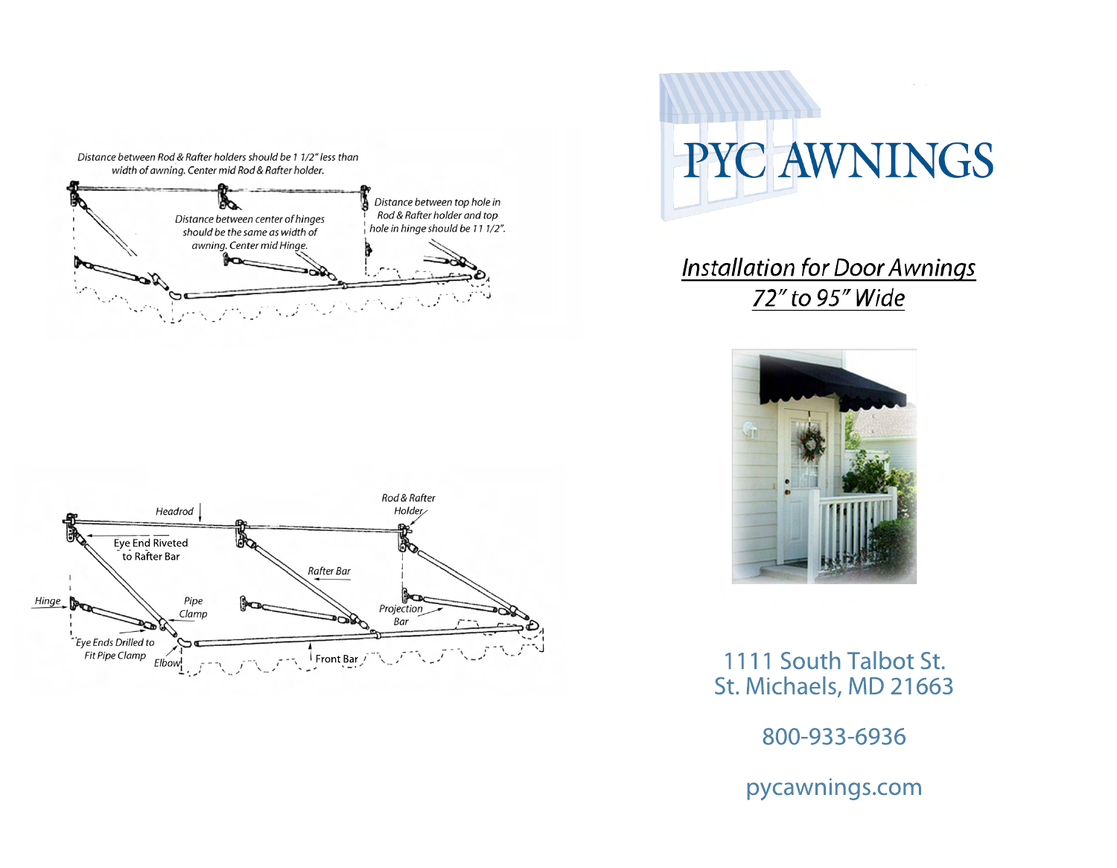

# **PYC AWNINGS**

**Installation for Door Awnings** 72" to 95" Wide



1111 South Talbot St. St. Michaels, MD 21663

800-933-6936

pycawnings.com